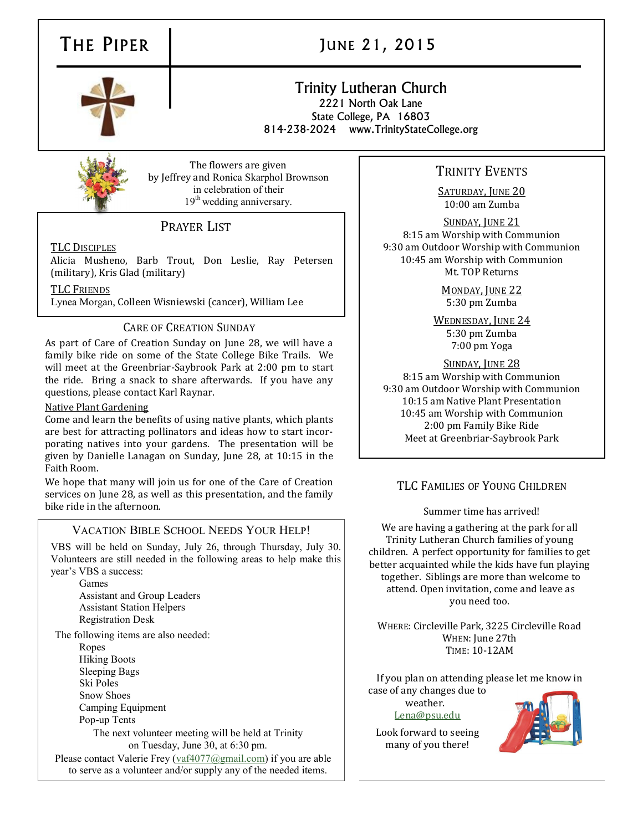

# THE PIPER JUNE 21, 2015

# Trinity Lutheran Church 2221 North Oak Lane State College, PA 16803

814-238-2024 www.TrinityStateCollege.org



The flowers are given by Jeffrey and Ronica Skarphol Brownson in celebration of their 19<sup>th</sup> wedding anniversary.

# PRAYER LIST

TLC DISCIPLES

Alicia Musheno, Barb Trout, Don Leslie, Ray Petersen (military), Kris Glad (military)

TLC FRIENDS

Lynea Morgan, Colleen Wisniewski (cancer), William Lee

## CARE OF CREATION SUNDAY

As part of Care of Creation Sunday on June 28, we will have a family bike ride on some of the State College Bike Trails. We will meet at the Greenbriar-Saybrook Park at 2:00 pm to start the ride. Bring a snack to share afterwards. If you have any questions, please contact Karl Raynar.

#### Native Plant Gardening

Come and learn the benefits of using native plants, which plants are best for attracting pollinators and ideas how to start incorporating natives into your gardens. The presentation will be given by Danielle Lanagan on Sunday, June 28, at 10:15 in the Faith Room.

We hope that many will join us for one of the Care of Creation services on June 28, as well as this presentation, and the family bike ride in the afternoon.

#### VACATION BIBLE SCHOOL NEEDS YOUR HELP!

VBS will be held on Sunday, July 26, through Thursday, July 30. Volunteers are still needed in the following areas to help make this year's VBS a success:

Games Assistant and Group Leaders Assistant Station Helpers Registration Desk

The following items are also needed:

Ropes Hiking Boots Sleeping Bags Ski Poles

Snow Shoes

Camping Equipment

Pop-up Tents

The next volunteer meeting will be held at Trinity on Tuesday, June 30, at 6:30 pm.

Please contact Valerie Frey ([vaf4077@gmail.com\)](mailto:vaf4077@gmail.com) if you are able to serve as a volunteer and/or supply any of the needed items.

# TRINITY EVENTS

SATURDAY, JUNE 20 10:00 am Zumba

SUNDAY, JUNE 21 8:15 am Worship with Communion 9:30 am Outdoor Worship with Communion 10:45 am Worship with Communion Mt. TOP Returns

> MONDAY, JUNE 22 5:30 pm Zumba

WEDNESDAY, JUNE 24 5:30 pm Zumba 7:00 pm Yoga

SUNDAY, JUNE 28 8:15 am Worship with Communion 9:30 am Outdoor Worship with Communion 10:15 am Native Plant Presentation 10:45 am Worship with Communion 2:00 pm Family Bike Ride Meet at Greenbriar-Saybrook Park

### TLC FAMILIES OF YOUNG CHILDREN

Summer time has arrived!

We are having a gathering at the park for all Trinity Lutheran Church families of young children. A perfect opportunity for families to get better acquainted while the kids have fun playing together. Siblings are more than welcome to attend. Open invitation, come and leave as you need too.

WHERE: Circleville Park, 3225 Circleville Road WHEN: June 27th TIME: 10-12AM

If you plan on attending please let me know in case of any changes due to

weather. [Lena@psu.edu](mailto:Lena@psu.edu)

Look forward to seeing many of you there!